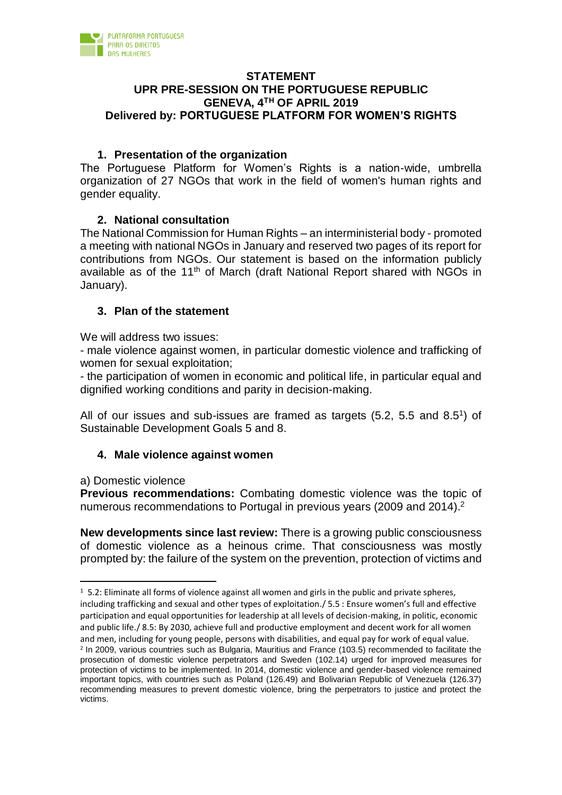

## **STATEMENT UPR PRE-SESSION ON THE PORTUGUESE REPUBLIC GENEVA, 4TH OF APRIL 2019 Delivered by: PORTUGUESE PLATFORM FOR WOMEN'S RIGHTS**

# **1. Presentation of the organization**

The Portuguese Platform for Women's Rights is a nation-wide, umbrella organization of 27 NGOs that work in the field of women's human rights and gender equality.

# **2. National consultation**

The National Commission for Human Rights – an interministerial body - promoted a meeting with national NGOs in January and reserved two pages of its report for contributions from NGOs. Our statement is based on the information publicly available as of the  $11<sup>th</sup>$  of March (draft National Report shared with NGOs in January).

# **3. Plan of the statement**

We will address two issues:

- male violence against women, in particular domestic violence and trafficking of women for sexual exploitation;

- the participation of women in economic and political life, in particular equal and dignified working conditions and parity in decision-making.

All of our issues and sub-issues are framed as targets  $(5.2, 5.5 \text{ and } 8.5^{\text{T}})$  of Sustainable Development Goals 5 and 8.

# **4. Male violence against women**

a) Domestic violence

l

**Previous recommendations:** Combating domestic violence was the topic of numerous recommendations to Portugal in previous years (2009 and 2014).<sup>2</sup>

**New developments since last review:** There is a growing public consciousness of domestic violence as a heinous crime. That consciousness was mostly prompted by: the failure of the system on the prevention, protection of victims and

<sup>&</sup>lt;sup>1</sup> 5.2: Eliminate all forms of violence against all women and girls in the public and private spheres, including trafficking and sexual and other types of exploitation./ 5.5 : Ensure women's full and effective participation and equal opportunities for leadership at all levels of decision-making, in politic, economic and public life./ 8.5: By 2030, achieve full and productive employment and decent work for all women and men, including for young people, persons with disabilities, and equal pay for work of equal value. <sup>2</sup> In 2009, various countries such as Bulgaria, Mauritius and France (103.5) recommended to facilitate the prosecution of domestic violence perpetrators and Sweden (102.14) urged for improved measures for protection of victims to be implemented. In 2014, domestic violence and gender-based violence remained important topics, with countries such as Poland (126.49) and Bolivarian Republic of Venezuela (126.37) recommending measures to prevent domestic violence, bring the perpetrators to justice and protect the victims.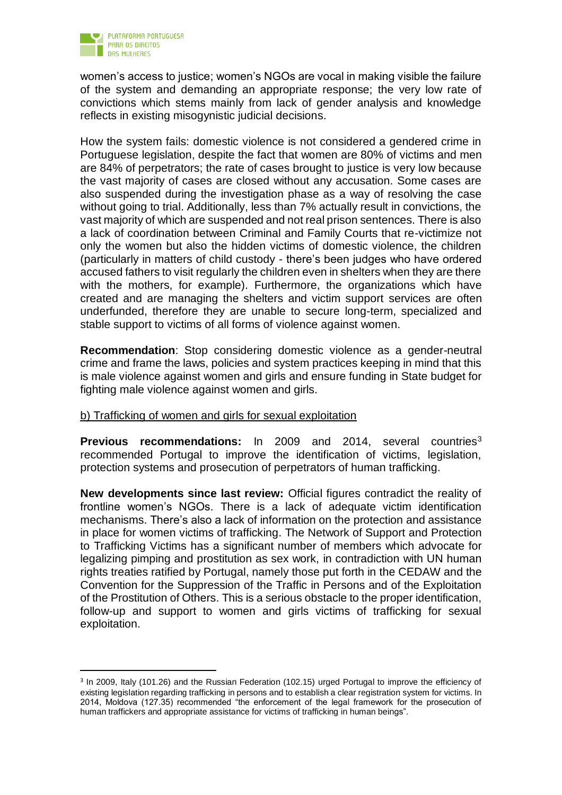

j

women's access to justice; women's NGOs are vocal in making visible the failure of the system and demanding an appropriate response; the very low rate of convictions which stems mainly from lack of gender analysis and knowledge reflects in existing misogynistic judicial decisions.

How the system fails: domestic violence is not considered a gendered crime in Portuguese legislation, despite the fact that women are 80% of victims and men are 84% of perpetrators; the rate of cases brought to justice is very low because the vast majority of cases are closed without any accusation. Some cases are also suspended during the investigation phase as a way of resolving the case without going to trial. Additionally, less than 7% actually result in convictions, the vast majority of which are suspended and not real prison sentences. There is also a lack of coordination between Criminal and Family Courts that re-victimize not only the women but also the hidden victims of domestic violence, the children (particularly in matters of child custody - there's been judges who have ordered accused fathers to visit regularly the children even in shelters when they are there with the mothers, for example). Furthermore, the organizations which have created and are managing the shelters and victim support services are often underfunded, therefore they are unable to secure long-term, specialized and stable support to victims of all forms of violence against women.

**Recommendation**: Stop considering domestic violence as a gender-neutral crime and frame the laws, policies and system practices keeping in mind that this is male violence against women and girls and ensure funding in State budget for fighting male violence against women and girls.

## b) Trafficking of women and girls for sexual exploitation

**Previous recommendations:** In 2009 and 2014, several countries<sup>3</sup> recommended Portugal to improve the identification of victims, legislation, protection systems and prosecution of perpetrators of human trafficking.

**New developments since last review:** Official figures contradict the reality of frontline women's NGOs. There is a lack of adequate victim identification mechanisms. There's also a lack of information on the protection and assistance in place for women victims of trafficking. The Network of Support and Protection to Trafficking Victims has a significant number of members which advocate for legalizing pimping and prostitution as sex work, in contradiction with UN human rights treaties ratified by Portugal, namely those put forth in the CEDAW and the Convention for the Suppression of the Traffic in Persons and of the Exploitation of the Prostitution of Others. This is a serious obstacle to the proper identification, follow-up and support to women and girls victims of trafficking for sexual exploitation.

<sup>&</sup>lt;sup>3</sup> In 2009, Italy (101.26) and the Russian Federation (102.15) urged Portugal to improve the efficiency of existing legislation regarding trafficking in persons and to establish a clear registration system for victims. In 2014, Moldova (127.35) recommended "the enforcement of the legal framework for the prosecution of human traffickers and appropriate assistance for victims of trafficking in human beings".